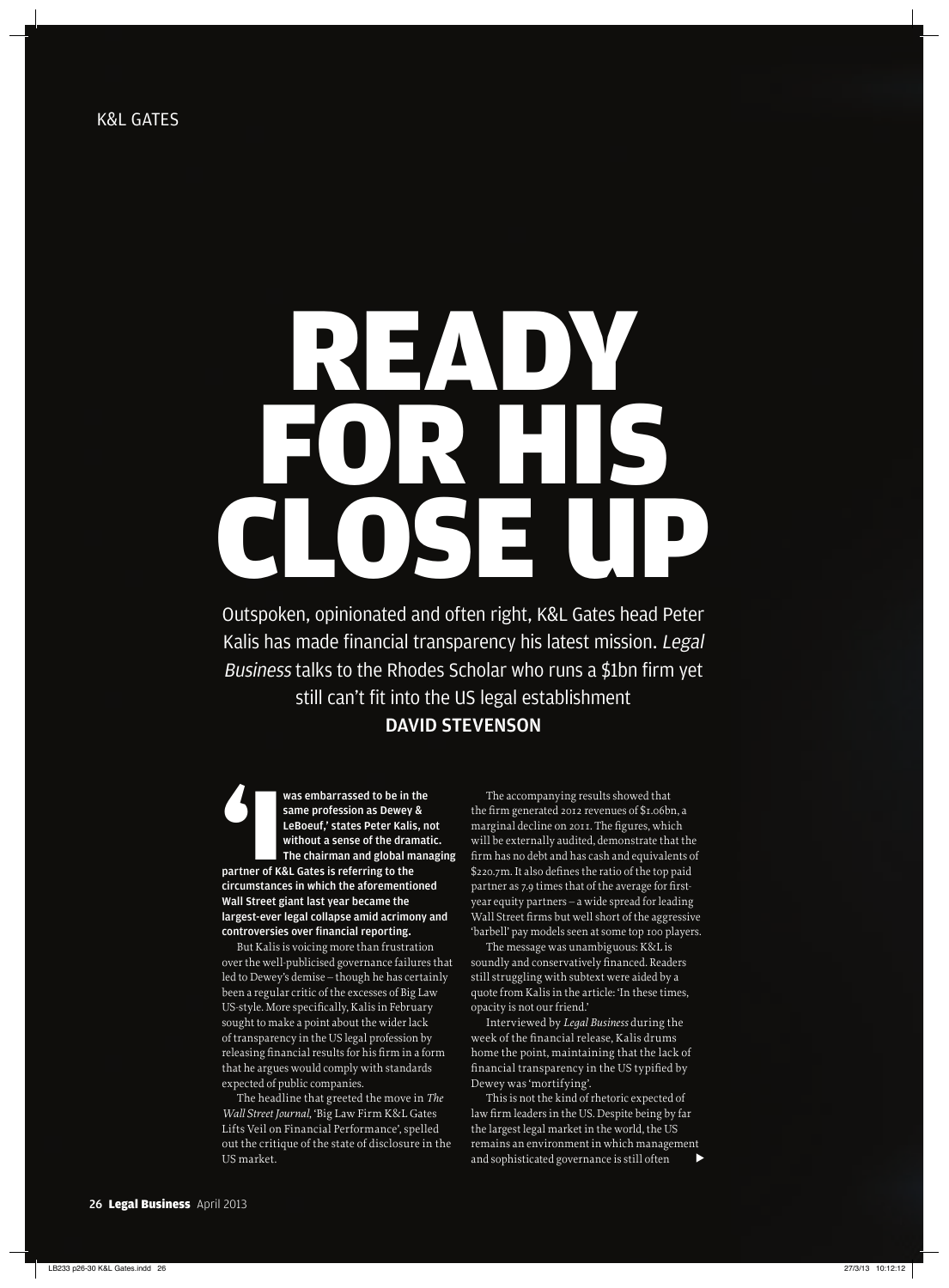# READY FOR HIS CLOSE UP

Outspoken, opinionated and often right, K&L Gates head Peter Kalis has made financial transparency his latest mission. Legal Business talks to the Rhodes Scholar who runs a \$1bn firm yet still can't fit into the US legal establishment DAVID STEVENSON

Was embarrassed to be in the<br>
same profession as Dewey &<br>
LeBoeuf,' states Peter Kalis, n<br>
without a sense of the dramat<br>
The chairman and global mana<br>
partner of K&L Gates is referring to the same profession as Dewey & LeBoeuf,' states Peter Kalis, not without a sense of the dramatic. The chairman and global managing circumstances in which the aforementioned Wall Street giant last year became the largest-ever legal collapse amid acrimony and controversies over financial reporting.

But Kalis is voicing more than frustration over the well-publicised governance failures that led to Dewey's demise – though he has certainly been a regular critic of the excesses of Big Law US-style. More specifically, Kalis in February sought to make a point about the wider lack of transparency in the US legal profession by releasing financial results for his firm in a form that he argues would comply with standards expected of public companies.

The headline that greeted the move in *The Wall Street Journal*, 'Big Law Firm K&L Gates Lifts Veil on Financial Performance', spelled out the critique of the state of disclosure in the US market.

The accompanying results showed that the firm generated 2012 revenues of \$1.06bn, a marginal decline on 2011. The figures, which will be externally audited, demonstrate that the firm has no debt and has cash and equivalents of \$220.7m. It also defines the ratio of the top paid partner as 7.9 times that of the average for firstyear equity partners – a wide spread for leading Wall Street firms but well short of the aggressive 'barbell' pay models seen at some top 100 players.

The message was unambiguous: K&L is soundly and conservatively financed. Readers still struggling with subtext were aided by a quote from Kalis in the article: 'In these times, opacity is not our friend.'

Interviewed by *Legal Business* during the week of the financial release, Kalis drums home the point, maintaining that the lack of financial transparency in the US typified by Dewey was 'mortifying'.

This is not the kind of rhetoric expected of law firm leaders in the US. Despite being by far the largest legal market in the world, the US remains an environment in which management and sophisticated governance is still often  $\blacktriangleright$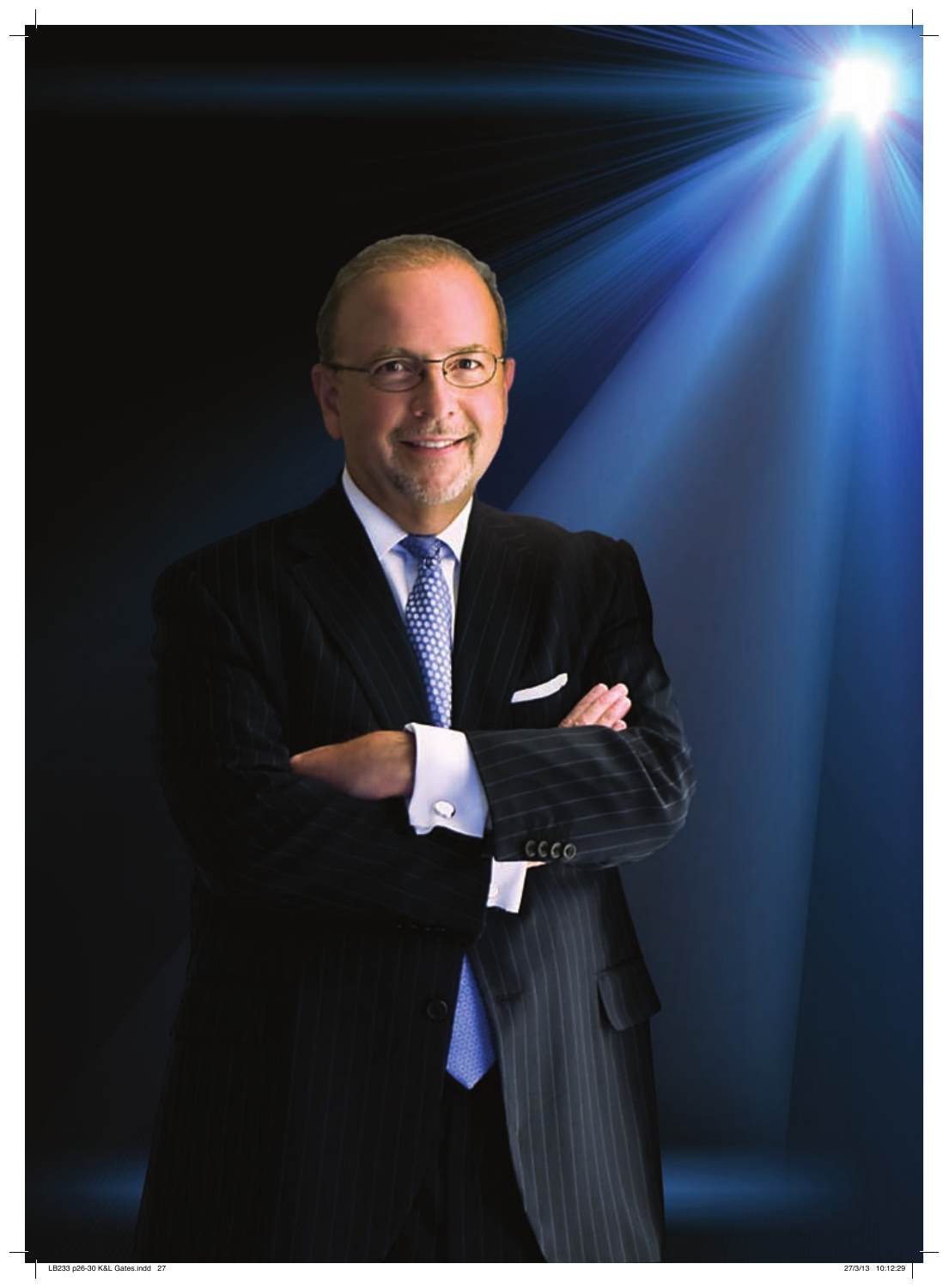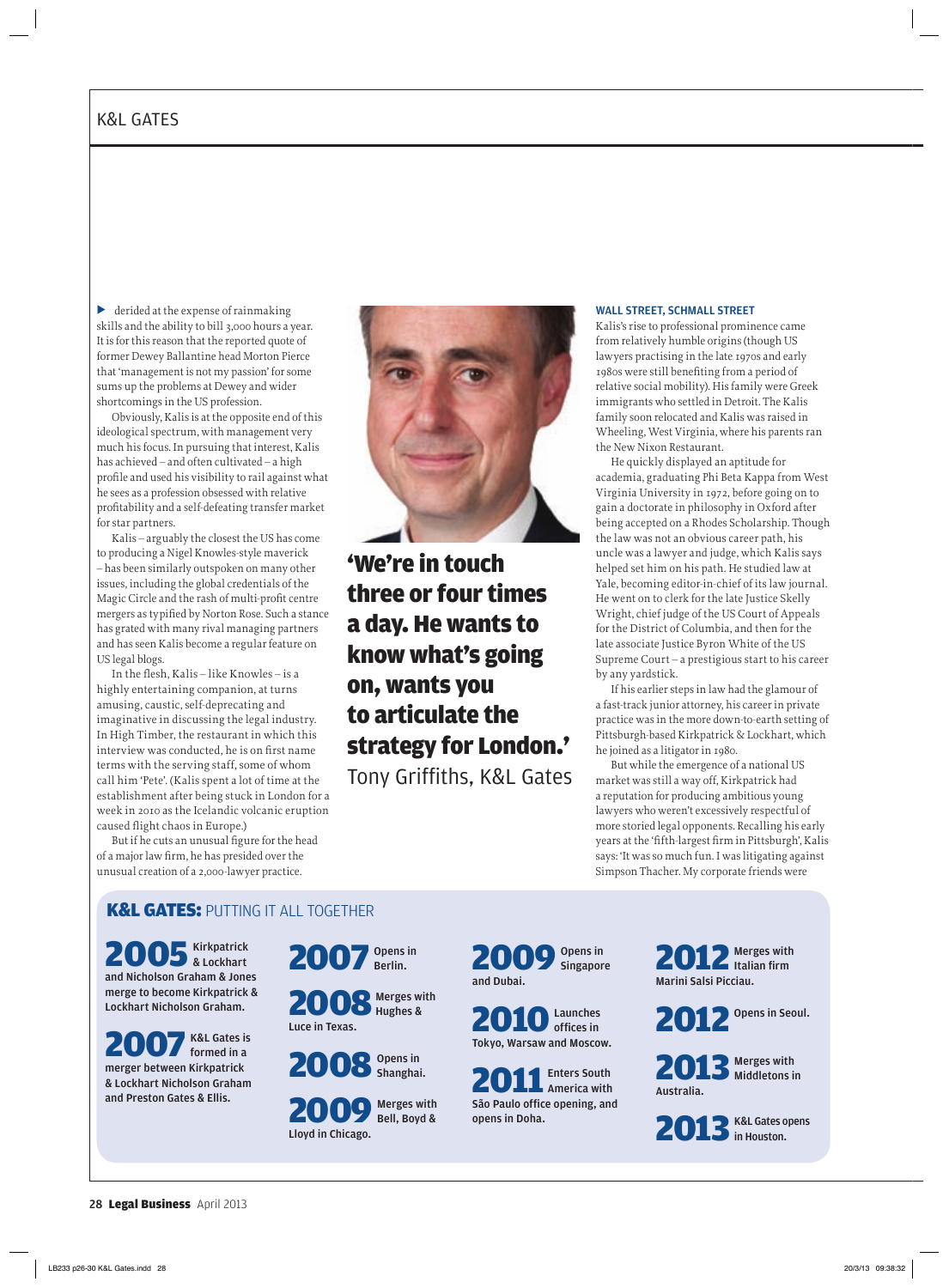# K&L GATES

• derided at the expense of rainmaking skills and the ability to bill 3,000 hours a year. It is for this reason that the reported quote of former Dewey Ballantine head Morton Pierce that 'management is not my passion' for some sums up the problems at Dewey and wider shortcomings in the US profession.

Obviously, Kalis is at the opposite end of this ideological spectrum, with management very much his focus. In pursuing that interest, Kalis has achieved – and often cultivated – a high profile and used his visibility to rail against what he sees as a profession obsessed with relative profitability and a self-defeating transfer market for star partners.

Kalis – arguably the closest the US has come to producing a Nigel Knowles-style maverick – has been similarly outspoken on many other issues, including the global credentials of the Magic Circle and the rash of multi-profit centre mergers as typified by Norton Rose. Such a stance has grated with many rival managing partners and has seen Kalis become a regular feature on US legal blogs.

In the flesh, Kalis – like Knowles – is a highly entertaining companion, at turns amusing, caustic, self-deprecating and imaginative in discussing the legal industry. In High Timber, the restaurant in which this interview was conducted, he is on first name terms with the serving staff, some of whom call him 'Pete'. (Kalis spent a lot of time at the establishment after being stuck in London for a week in 2010 as the Icelandic volcanic eruption caused flight chaos in Europe.)

But if he cuts an unusual figure for the head of a major law firm, he has presided over the unusual creation of a 2,000-lawyer practice.



# 'We're in touch three or four times a day. He wants to know what's going on, wants you to articulate the strategy for London.' Tony Griffiths, K&L Gates

#### WALL STREET, SCHMALL STREET

Kalis's rise to professional prominence came from relatively humble origins (though US lawyers practising in the late 1970s and early 1980s were still benefiting from a period of relative social mobility). His family were Greek immigrants who settled in Detroit. The Kalis family soon relocated and Kalis was raised in Wheeling, West Virginia, where his parents ran the New Nixon Restaurant.

He quickly displayed an aptitude for academia, graduating Phi Beta Kappa from West Virginia University in 1972, before going on to gain a doctorate in philosophy in Oxford after being accepted on a Rhodes Scholarship. Though the law was not an obvious career path, his uncle was a lawyer and judge, which Kalis says helped set him on his path. He studied law at Yale, becoming editor-in-chief of its law journal. He went on to clerk for the late Justice Skelly Wright, chief judge of the US Court of Appeals for the District of Columbia, and then for the late associate Justice Byron White of the US Supreme Court – a prestigious start to his career by any yardstick.

If his earlier steps in law had the glamour of a fast-track junior attorney, his career in private practice was in the more down-to-earth setting of Pittsburgh-based Kirkpatrick & Lockhart, which he joined as a litigator in 1980.

But while the emergence of a national US market was still a way off, Kirkpatrick had a reputation for producing ambitious young lawyers who weren't excessively respectful of more storied legal opponents. Recalling his early years at the 'fifth-largest firm in Pittsburgh', Kalis says: 'It was so much fun. I was litigating against Simpson Thacher. My corporate friends were

### **K&L GATES: PUTTING IT ALL TOGETHER**

2005 Kirkpatrick and Nicholson Graham & Jones merge to become Kirkpatrick & Lockhart Nicholson Graham.

**K&L Gates is** formed in a merger between Kirkpatrick & Lockhart Nicholson Graham and Preston Gates & Ellis.



2008 Merges with Luce in Texas.





2009 Opens in Singapore and Dubai.



**2011** Enters South<br>São Paulo office opening, and America with opens in Doha.

2012 Merges with Marini Salsi Picciau.

Opens in Seoul.

2013 Merges with Australia.

2013 K&L Gates opens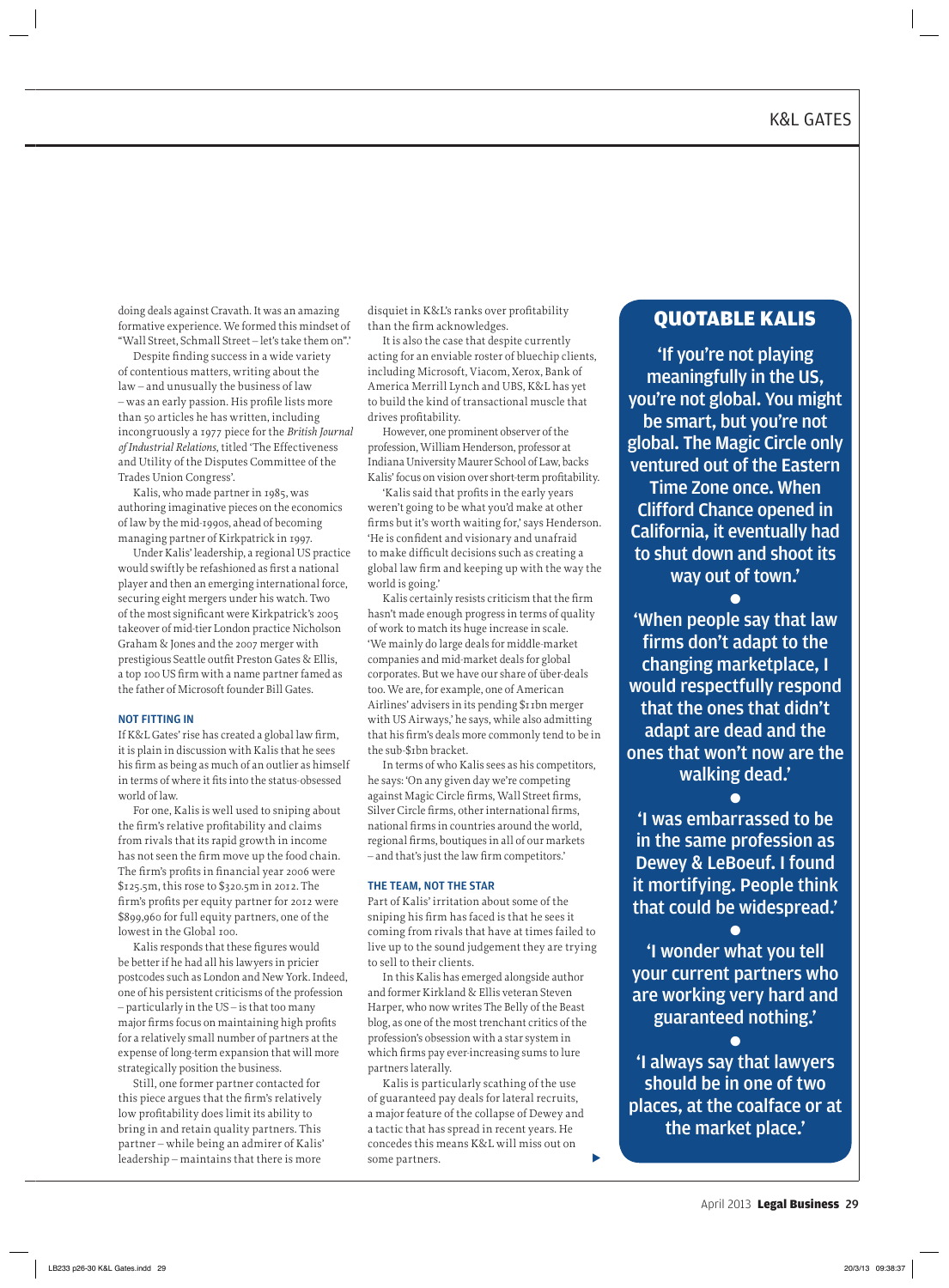doing deals against Cravath. It was an amazing formative experience. We formed this mindset of "Wall Street, Schmall Street – let's take them on".'

Despite finding success in a wide variety of contentious matters, writing about the law – and unusually the business of law – was an early passion. His profile lists more than 50 articles he has written, including incongruously a 1977 piece for the *British Journal of Industrial Relations*, titled 'The Effectiveness and Utility of the Disputes Committee of the Trades Union Congress'.

Kalis, who made partner in 1985, was authoring imaginative pieces on the economics of law by the mid-1990s, ahead of becoming managing partner of Kirkpatrick in 1997.

Under Kalis' leadership, a regional US practice would swiftly be refashioned as first a national player and then an emerging international force, securing eight mergers under his watch. Two of the most significant were Kirkpatrick's 2005 takeover of mid-tier London practice Nicholson Graham & Jones and the 2007 merger with prestigious Seattle outfit Preston Gates & Ellis, a top 100 US firm with a name partner famed as the father of Microsoft founder Bill Gates.

#### NOT FITTING IN

If K&L Gates' rise has created a global law firm, it is plain in discussion with Kalis that he sees his firm as being as much of an outlier as himself in terms of where it fits into the status-obsessed world of law.

For one, Kalis is well used to sniping about the firm's relative profitability and claims from rivals that its rapid growth in income has not seen the firm move up the food chain. The firm's profits in financial year 2006 were \$125.5m, this rose to \$320.5m in 2012. The firm's profits per equity partner for 2012 were \$899,960 for full equity partners, one of the lowest in the Global 100.

Kalis responds that these figures would be better if he had all his lawyers in pricier postcodes such as London and New York. Indeed, one of his persistent criticisms of the profession – particularly in the US – is that too many major firms focus on maintaining high profits for a relatively small number of partners at the expense of long-term expansion that will more strategically position the business.

Still, one former partner contacted for this piece argues that the firm's relatively low profitability does limit its ability to bring in and retain quality partners. This partner – while being an admirer of Kalis' leadership – maintains that there is more

disquiet in K&L's ranks over profitability than the firm acknowledges.

It is also the case that despite currently acting for an enviable roster of bluechip clients, including Microsoft, Viacom, Xerox, Bank of America Merrill Lynch and UBS, K&L has yet to build the kind of transactional muscle that drives profitability.

However, one prominent observer of the profession, William Henderson, professor at Indiana University Maurer School of Law, backs Kalis' focus on vision over short-term profitability.

'Kalis said that profits in the early years weren't going to be what you'd make at other firms but it's worth waiting for,' says Henderson. 'He is confident and visionary and unafraid to make difficult decisions such as creating a global law firm and keeping up with the way the world is going.'

Kalis certainly resists criticism that the firm hasn't made enough progress in terms of quality of work to match its huge increase in scale. 'We mainly do large deals for middle-market companies and mid-market deals for global corporates. But we have our share of über-deals too. We are, for example, one of American Airlines' advisers in its pending \$11bn merger with US Airways,' he says, while also admitting that his firm's deals more commonly tend to be in the sub-\$1bn bracket.

In terms of who Kalis sees as his competitors, he says: 'On any given day we're competing against Magic Circle firms, Wall Street firms, Silver Circle firms, other international firms national firms in countries around the world, regional firms, boutiques in all of our markets - and that's just the law firm competitors.'

#### THE TEAM, NOT THE STAR

Part of Kalis' irritation about some of the sniping his firm has faced is that he sees it coming from rivals that have at times failed to live up to the sound judgement they are trying to sell to their clients.

In this Kalis has emerged alongside author and former Kirkland & Ellis veteran Steven Harper, who now writes The Belly of the Beast blog, as one of the most trenchant critics of the profession's obsession with a star system in which firms pay ever-increasing sums to lure partners laterally.

Kalis is particularly scathing of the use of guaranteed pay deals for lateral recruits, a major feature of the collapse of Dewey and a tactic that has spread in recent years. He concedes this means K&L will miss out on some partners.

 $\blacktriangleright$ 

# QUOTABLE KALIS

'If you're not playing meaningfully in the US, you're not global. You might be smart, but you're not global. The Magic Circle only ventured out of the Eastern Time Zone once. When Clifford Chance opened in California, it eventually had to shut down and shoot its way out of town.'

 $\bullet$ 'When people say that law firms don't adapt to the changing marketplace, I would respectfully respond that the ones that didn't adapt are dead and the ones that won't now are the walking dead.'

'I was embarrassed to be in the same profession as Dewey & LeBoeuf. I found it mortifying. People think that could be widespread.'

**。** 

'I wonder what you tell your current partners who are working very hard and guaranteed nothing.'

 $\bullet$ 

'I always say that lawyers should be in one of two places, at the coalface or at the market place.'

 $\bullet$